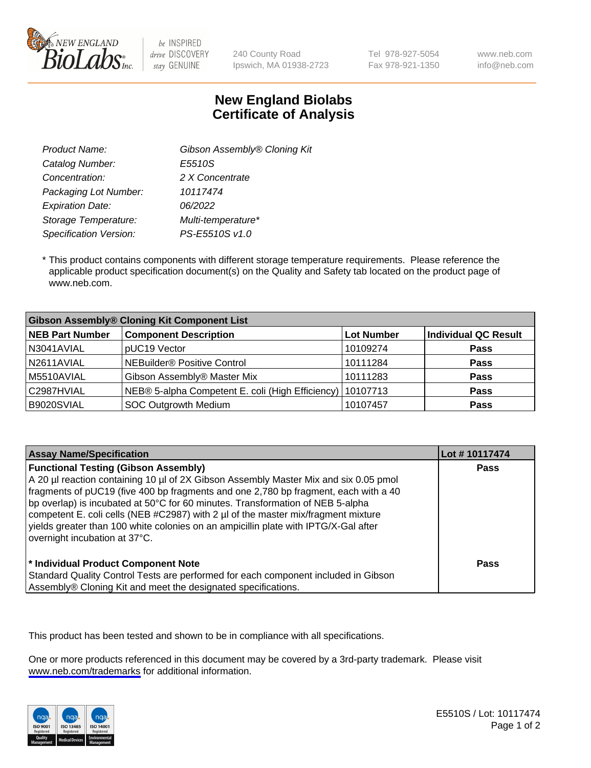

be INSPIRED drive DISCOVERY stay GENUINE

240 County Road Ipswich, MA 01938-2723 Tel 978-927-5054 Fax 978-921-1350 www.neb.com info@neb.com

## **New England Biolabs Certificate of Analysis**

| Gibson Assembly® Cloning Kit |
|------------------------------|
| E5510S                       |
| 2 X Concentrate              |
| 10117474                     |
| 06/2022                      |
| Multi-temperature*           |
| PS-E5510S v1.0               |
|                              |

 \* This product contains components with different storage temperature requirements. Please reference the applicable product specification document(s) on the Quality and Safety tab located on the product page of www.neb.com.

| <b>Gibson Assembly® Cloning Kit Component List</b> |                                                             |            |                             |  |
|----------------------------------------------------|-------------------------------------------------------------|------------|-----------------------------|--|
| <b>NEB Part Number</b>                             | <b>Component Description</b>                                | Lot Number | <b>Individual QC Result</b> |  |
| N3041AVIAL                                         | pUC19 Vector                                                | 10109274   | <b>Pass</b>                 |  |
| N2611AVIAL                                         | NEBuilder <sup>®</sup> Positive Control                     | 10111284   | <b>Pass</b>                 |  |
| M5510AVIAL                                         | Gibson Assembly® Master Mix                                 | 10111283   | <b>Pass</b>                 |  |
| C2987HVIAL                                         | NEB® 5-alpha Competent E. coli (High Efficiency)   10107713 |            | <b>Pass</b>                 |  |
| B9020SVIAL                                         | <b>SOC Outgrowth Medium</b>                                 | 10107457   | <b>Pass</b>                 |  |

| <b>Assay Name/Specification</b>                                                                                                                                                                                                                                                                                                                                                                                                                                                                                           | Lot #10117474 |
|---------------------------------------------------------------------------------------------------------------------------------------------------------------------------------------------------------------------------------------------------------------------------------------------------------------------------------------------------------------------------------------------------------------------------------------------------------------------------------------------------------------------------|---------------|
| <b>Functional Testing (Gibson Assembly)</b><br>A 20 µl reaction containing 10 µl of 2X Gibson Assembly Master Mix and six 0.05 pmol<br>fragments of pUC19 (five 400 bp fragments and one 2,780 bp fragment, each with a 40<br>bp overlap) is incubated at 50°C for 60 minutes. Transformation of NEB 5-alpha<br>competent E. coli cells (NEB #C2987) with 2 µl of the master mix/fragment mixture<br>vields greater than 100 white colonies on an ampicillin plate with IPTG/X-Gal after<br>overnight incubation at 37°C. | Pass          |
| * Individual Product Component Note<br>Standard Quality Control Tests are performed for each component included in Gibson<br>Assembly® Cloning Kit and meet the designated specifications.                                                                                                                                                                                                                                                                                                                                | Pass          |

This product has been tested and shown to be in compliance with all specifications.

One or more products referenced in this document may be covered by a 3rd-party trademark. Please visit <www.neb.com/trademarks>for additional information.